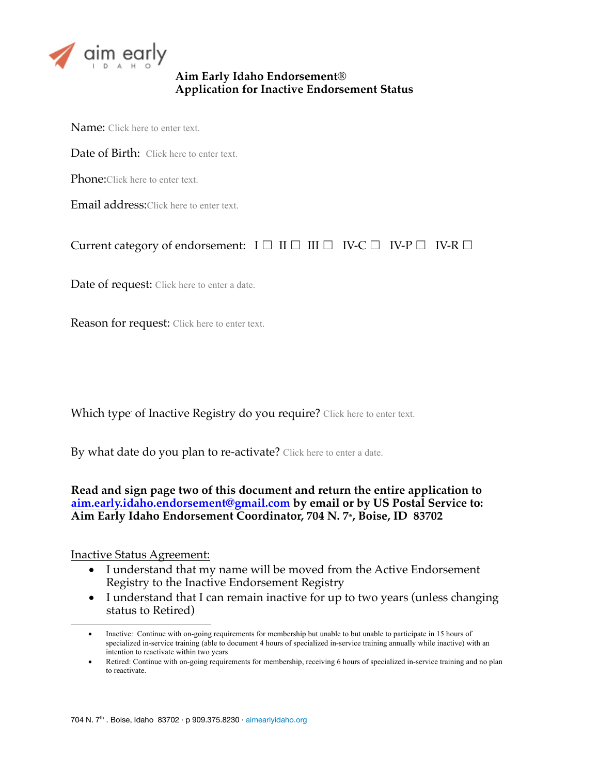

## **Aim Early Idaho Endorsement® Application for Inactive Endorsement Status**

Name: Click here to enter text.

Date of Birth: Click here to enter text.

Phone:Click here to enter text.

Email address:Click here to enter text.

# Current category of endorsement:  $I \Box \Pi \Box \Pi \Box \Pi \lor C \Box \Pi$  V-P  $\Box \Pi$  V-R  $\Box$

Date of request: Click here to enter a date.

Reason for request: Click here to enter text.

Which type' of Inactive Registry do you require? Click here to enter text.

By what date do you plan to re-activate? Click here to enter a date.

## **Read and sign page two of this document and return the entire application to aim.early.idaho.endorsement@gmail.com by email or by US Postal Service to:**  Aim Early Idaho Endorsement Coordinator, 704 N. 7<sup>th</sup>, Boise, ID 83702

#### Inactive Status Agreement:

 $\overline{a}$ 

- I understand that my name will be moved from the Active Endorsement Registry to the Inactive Endorsement Registry
- I understand that I can remain inactive for up to two years (unless changing status to Retired)

<sup>•</sup> Inactive: Continue with on-going requirements for membership but unable to but unable to participate in 15 hours of specialized in-service training (able to document 4 hours of specialized in-service training annually while inactive) with an intention to reactivate within two years

<sup>•</sup> Retired: Continue with on-going requirements for membership, receiving 6 hours of specialized in-service training and no plan to reactivate.